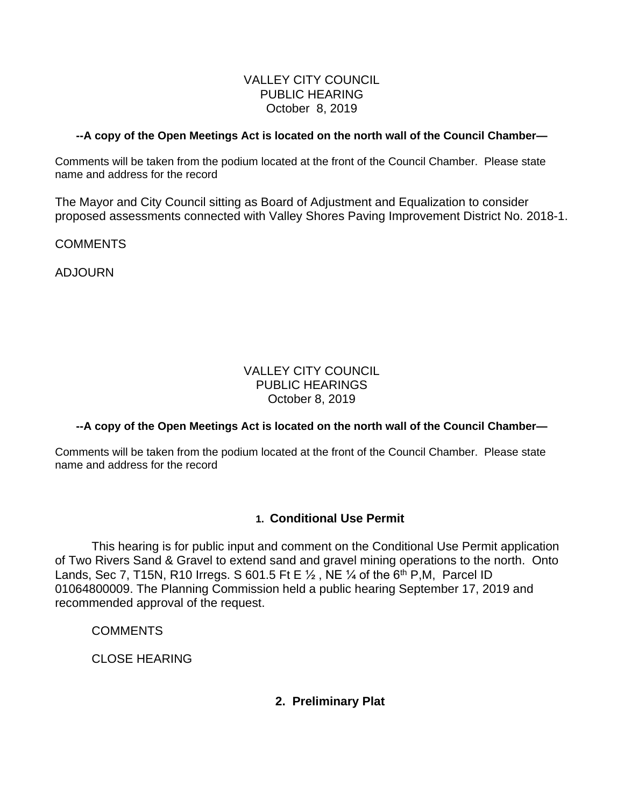#### VALLEY CITY COUNCIL PUBLIC HEARING October 8, 2019

#### **--A copy of the Open Meetings Act is located on the north wall of the Council Chamber—**

Comments will be taken from the podium located at the front of the Council Chamber. Please state name and address for the record

The Mayor and City Council sitting as Board of Adjustment and Equalization to consider proposed assessments connected with Valley Shores Paving Improvement District No. 2018-1.

**COMMENTS** 

ADJOURN

## VALLEY CITY COUNCIL PUBLIC HEARINGS October 8, 2019

## **--A copy of the Open Meetings Act is located on the north wall of the Council Chamber—**

Comments will be taken from the podium located at the front of the Council Chamber. Please state name and address for the record

# **1. Conditional Use Permit**

This hearing is for public input and comment on the Conditional Use Permit application of Two Rivers Sand & Gravel to extend sand and gravel mining operations to the north. Onto Lands, Sec 7, T15N, R10 Irregs. S 601.5 Ft E  $\frac{1}{2}$ , NE  $\frac{1}{4}$  of the 6<sup>th</sup> P, M, Parcel ID 01064800009. The Planning Commission held a public hearing September 17, 2019 and recommended approval of the request.

**COMMENTS** 

CLOSE HEARING

# **2. Preliminary Plat**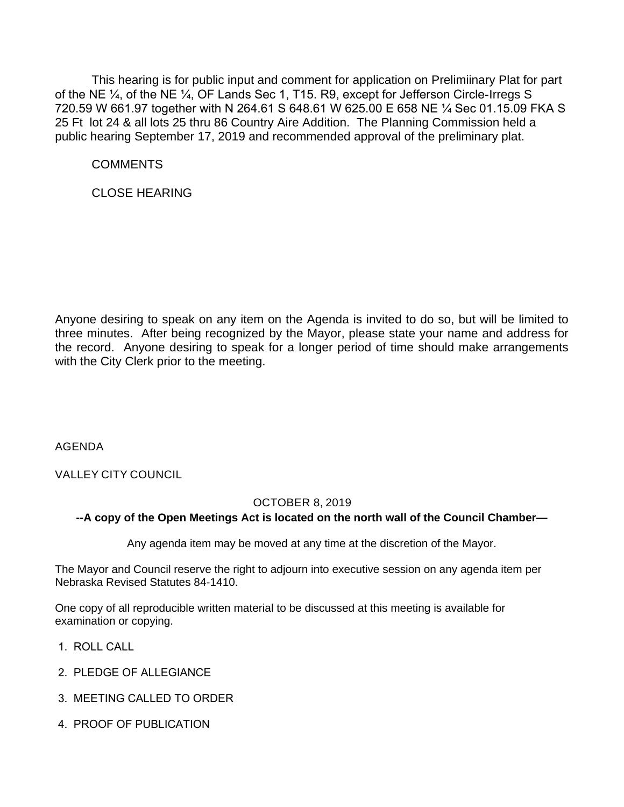This hearing is for public input and comment for application on Prelimiinary Plat for part of the NE ¼, of the NE ¼, OF Lands Sec 1, T15. R9, except for Jefferson Circle-Irregs S 720.59 W 661.97 together with N 264.61 S 648.61 W 625.00 E 658 NE ¼ Sec 01.15.09 FKA S 25 Ft lot 24 & all lots 25 thru 86 Country Aire Addition. The Planning Commission held a public hearing September 17, 2019 and recommended approval of the preliminary plat.

**COMMENTS** 

CLOSE HEARING

Anyone desiring to speak on any item on the Agenda is invited to do so, but will be limited to three minutes. After being recognized by the Mayor, please state your name and address for the record. Anyone desiring to speak for a longer period of time should make arrangements with the City Clerk prior to the meeting.

AGENDA

VALLEY CITY COUNCIL

## OCTOBER 8, 2019

## **--A copy of the Open Meetings Act is located on the north wall of the Council Chamber—**

Any agenda item may be moved at any time at the discretion of the Mayor.

The Mayor and Council reserve the right to adjourn into executive session on any agenda item per Nebraska Revised Statutes 84-1410.

One copy of all reproducible written material to be discussed at this meeting is available for examination or copying.

- 1. ROLL CALL
- 2. PLEDGE OF ALLEGIANCE
- 3. MEETING CALLED TO ORDER
- 4. PROOF OF PUBLICATION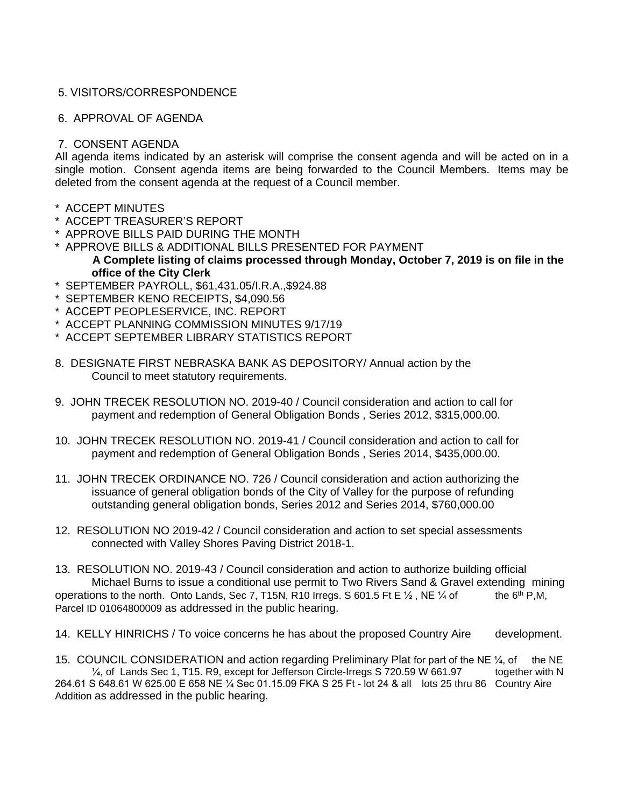#### 5. VISITORS/CORRESPONDENCE

#### 6. APPROVAL OF AGENDA

#### 7. CONSENT AGENDA

All agenda items indicated by an asterisk will comprise the consent agenda and will be acted on in a single motion. Consent agenda items are being forwarded to the Council Members. Items may be deleted from the consent agenda at the request of a Council member.

- \* ACCEPT MINUTES
- \* ACCEPT TREASURER'S REPORT
- \* APPROVE BILLS PAID DURING THE MONTH
- \* APPROVE BILLS & ADDITIONAL BILLS PRESENTED FOR PAYMENT **A Complete listing of claims processed through Monday, October 7, 2019 is on file in the office of the City Clerk**
- \* SEPTEMBER PAYROLL, \$61,431.05/I.R.A.,\$924.88
- SEPTEMBER KENO RECEIPTS, \$4,090.56
- \* ACCEPT PEOPLESERVICE, INC. REPORT
- \* ACCEPT PLANNING COMMISSION MINUTES 9/17/19
- \* ACCEPT SEPTEMBER LIBRARY STATISTICS REPORT
- 8. DESIGNATE FIRST NEBRASKA BANK AS DEPOSITORY/ Annual action by the Council to meet statutory requirements.
- 9. JOHN TRECEK RESOLUTION NO. 2019-40 / Council consideration and action to call for payment and redemption of General Obligation Bonds , Series 2012, \$315,000.00.
- 10. JOHN TRECEK RESOLUTION NO. 2019-41 / Council consideration and action to call for payment and redemption of General Obligation Bonds , Series 2014, \$435,000.00.
- 11. JOHN TRECEK ORDINANCE NO. 726 / Council consideration and action authorizing the issuance of general obligation bonds of the City of Valley for the purpose of refunding outstanding general obligation bonds, Series 2012 and Series 2014, \$760,000.00
- 12. RESOLUTION NO 2019-42 / Council consideration and action to set special assessments connected with Valley Shores Paving District 2018-1.

13. RESOLUTION NO. 2019-43 / Council consideration and action to authorize building official Michael Burns to issue a conditional use permit to Two Rivers Sand & Gravel extending mining operations to the north. Onto Lands, Sec 7, T15N, R10 Irregs. S 601.5 Ft E  $\frac{1}{2}$ , NE  $\frac{1}{4}$  of the 6<sup>th</sup> P,M, Parcel ID 01064800009 as addressed in the public hearing.

14. KELLY HINRICHS / To voice concerns he has about the proposed Country Aire development.

15. COUNCIL CONSIDERATION and action regarding Preliminary Plat for part of the NE  $\frac{1}{4}$ , of the NE ¼, of Lands Sec 1, T15. R9, except for Jefferson Circle-Irregs S 720.59 W 661.97 together with N 264.61 S 648.61 W 625.00 E 658 NE ¼ Sec 01.15.09 FKA S 25 Ft - lot 24 & all lots 25 thru 86 Country Aire Addition as addressed in the public hearing.